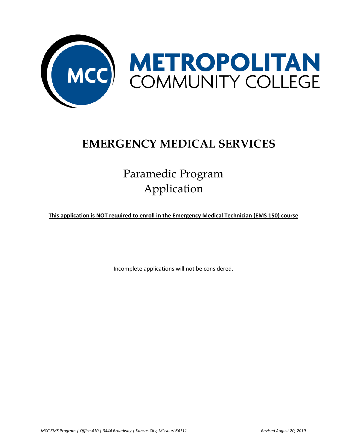

## **EMERGENCY MEDICAL SERVICES**

# Paramedic Program Application

**This application is NOT required to enroll in the Emergency Medical Technician (EMS 150) course**

Incomplete applications will not be considered.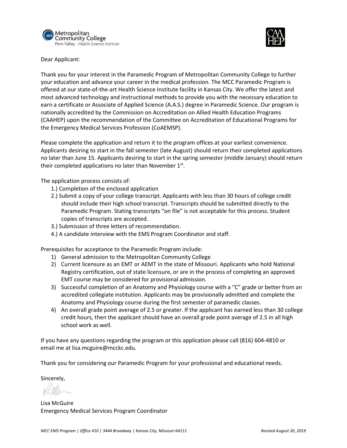



Dear Applicant:

Thank you for your interest in the Paramedic Program of Metropolitan Community College to further your education and advance your career in the medical profession. The MCC Paramedic Program is offered at our state-of-the-art Health Science Institute facility in Kansas City. We offer the latest and most advanced technology and instructional methods to provide you with the necessary education to earn a certificate or Associate of Applied Science (A.A.S.) degree in Paramedic Science. Our program is nationally accredited by the Commission on Accreditation on Allied Health Education Programs (CAAHEP) upon the recommendation of the Committee on Accreditation of Educational Programs for the Emergency Medical Services Profession (CoAEMSP).

Please complete the application and return it to the program offices at your earliest convenience. Applicants desiring to start in the fall semester (late August) should return their completed applications no later than June 15. Applicants desiring to start in the spring semester (middle January) should return their completed applications no later than November  $1<sup>st</sup>$ .

The application process consists of:

- 1.) Completion of the enclosed application
- 2.) Submit a copy of your college transcript. Applicants with less than 30 hours of college credit should include their high school transcript. Transcripts should be submitted directly to the Paramedic Program. Stating transcripts "on file" is not acceptable for this process. Student copies of transcripts are accepted.
- 3.) Submission of three letters of recommendation.
- 4.) A candidate interview with the EMS Program Coordinator and staff.

Prerequisites for acceptance to the Paramedic Program include:

- 1) General admission to the Metropolitan Community College
- 2) Current licensure as an EMT or AEMT in the state of Missouri. Applicants who hold National Registry certification, out of state licensure, or are in the process of completing an approved EMT course may be considered for provisional admission.
- 3) Successful completion of an Anatomy and Physiology course with a "C" grade or better from an accredited collegiate institution. Applicants may be provisionally admitted and complete the Anatomy and Physiology course during the first semester of paramedic classes.
- 4) An overall grade point average of 2.5 or greater. If the applicant has earned less than 30 college credit hours, then the applicant should have an overall grade point average of 2.5 in all high school work as well.

If you have any questions regarding the program or this application please call (816) 604-4810 or email me at [lisa.mcguire@mcckc.edu.](mailto:lisa.mcguire@mcckc.edu)

Thank you for considering our Paramedic Program for your professional and educational needs.

Sincerely,

Lisa McGuire Emergency Medical Services Program Coordinator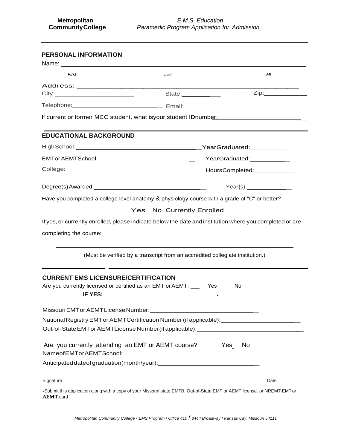| <b>PERSONAL INFORMATION</b>                           |                                                                                                                           |                               |  |  |
|-------------------------------------------------------|---------------------------------------------------------------------------------------------------------------------------|-------------------------------|--|--|
| First                                                 | Last                                                                                                                      | MI                            |  |  |
|                                                       |                                                                                                                           |                               |  |  |
|                                                       | State:__________                                                                                                          | Zip:______________            |  |  |
|                                                       |                                                                                                                           |                               |  |  |
|                                                       | If current or former MCC student, what isyour student IDnumber:                                                           |                               |  |  |
| <b>EDUCATIONAL BACKGROUND</b>                         |                                                                                                                           |                               |  |  |
|                                                       |                                                                                                                           |                               |  |  |
|                                                       |                                                                                                                           |                               |  |  |
|                                                       |                                                                                                                           | HoursCompleted: _____________ |  |  |
|                                                       |                                                                                                                           |                               |  |  |
|                                                       | Have you completed a college level anatomy & physiology course with a grade of "C" or better?                             |                               |  |  |
|                                                       | (Must be verified by a transcript from an accredited collegiate institution.)                                             |                               |  |  |
| <b>CURRENT EMS LICENSURE/CERTIFICATION</b><br>IF YES: | Are you currently licensed or certified as an EMT or AEMT: _____ Yes                                                      | No                            |  |  |
| Missouri EMT or AEMT License Number:                  |                                                                                                                           |                               |  |  |
|                                                       | National Registry EMT or AEMTCertification Number (if applicable): ______________                                         |                               |  |  |
|                                                       | Out-of-State EMT or AEMTLicense Number {if applicable}: ________________________                                          |                               |  |  |
| Are you currently attending an EMT or AEMT course?    |                                                                                                                           | <b>Paradox</b> Yes<br>No      |  |  |
|                                                       | Anticipated date of graduation (month/year):                                                                              |                               |  |  |
| Signature                                             |                                                                                                                           | Date                          |  |  |
|                                                       | •Submit this application along with a copy of your Missouri state EMTR, Out-of-State EMT or AEMT license, or NREMT EMT or |                               |  |  |

a copy of your Missouri state EMTB, Out-of-State EMT or AEMT license. or **AEMT** card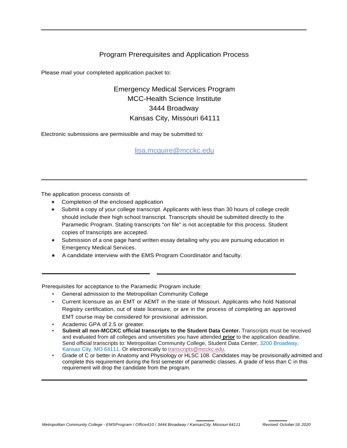### Program Prerequisites and Application Process

Please mail your completed application packet to:

Emergency Medical Services Program MCC-Health Science Institute 3444 Broadway Kansas City, Missouri 64111

Electronic submissions are permissible and may be submitted to:

[lisa.mcguire@mcckc.edu](mailto:lisa.mcguire@mcckc.edu)

The application process consists of:

- Completion of the enclosed application
- Submit a copy of your college transcript. Applicants with less than 30 hours of college credit should include their high school transcript. Transcripts should be submitted directly to the Paramedic Program. Stating transcripts "on file" is not acceptable for this process. Student copies of transcripts are accepted.
- Submission of a one page hand written essay detailing why you are pursuing education in Emergency Medical Services.
- A candidate interview with the EMS Program Coordinator and faculty.

Prerequisites for acceptance to the Paramedic Program include:

- General admission to the Metropolitan Community College
- Current licensure as an EMT or AEMT in the state of Missouri. Applicants who hold National Registry certification, out of state licensure, or are in the process of completing an approved EMT course may be considered for provisional admission.
- Academic GPA of 2.5 or greater.
- **Submit all non-MCCKC official transcripts to the Student Data Center.** Transcripts must be received and evaluated from all colleges and universities you have attended **prior** to the application deadline. Send official transcripts to: Metropolitan Community College, Student Data Center, 3200 Broadway, Kansas City, MO 64111. Or electronically to [transcripts@mcckc.edu.](mailto:transcripts@mcckc.edu)
- Grade of C or better in Anatomy and Physiology or HLSC 108. Candidates may be provisionally admitted and complete this requirement during the first semester of paramedic classes. A grade of less than C in this requirement will drop the candidate from the program.